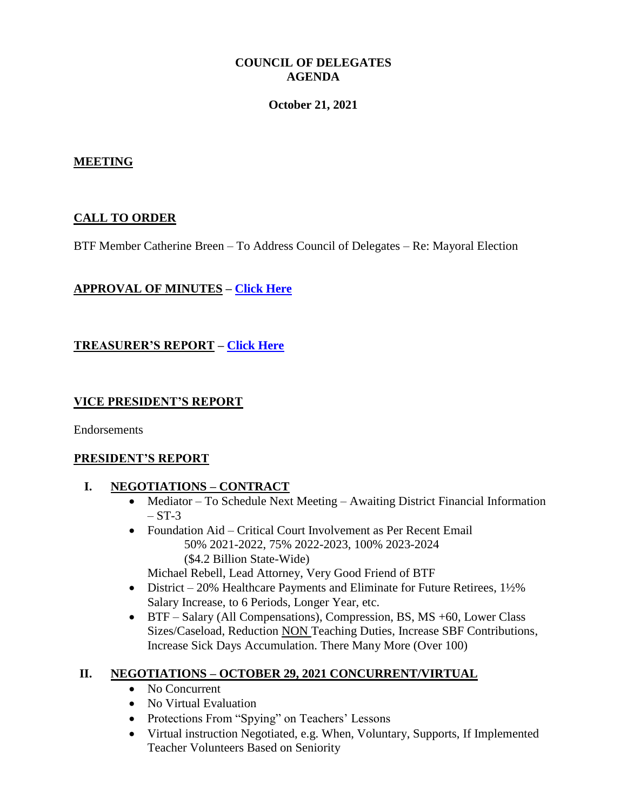### **COUNCIL OF DELEGATES AGENDA**

#### **October 21, 2021**

#### **MEETING**

### **CALL TO ORDER**

BTF Member Catherine Breen – To Address Council of Delegates – Re: Mayoral Election

### **APPROVAL OF MINUTES – [Click Here](http://www.btfny.org/cod/agendas/2021/oct21/sept_cod_minutes.pdf)**

## **TREASURER'S REPORT – [Click Here](http://www.btfny.org/cod/agendas/2021/oct21/finance_statement_821.pdf)**

### **VICE PRESIDENT'S REPORT**

Endorsements

### **PRESIDENT'S REPORT**

#### **I. NEGOTIATIONS – CONTRACT**

- Mediator To Schedule Next Meeting Awaiting District Financial Information  $-$  ST-3
- Foundation Aid Critical Court Involvement as Per Recent Email 50% 2021-2022, 75% 2022-2023, 100% 2023-2024 (\$4.2 Billion State-Wide)

Michael Rebell, Lead Attorney, Very Good Friend of BTF

- District 20% Healthcare Payments and Eliminate for Future Retirees,  $1\frac{1}{2}\%$ Salary Increase, to 6 Periods, Longer Year, etc.
- BTF Salary (All Compensations), Compression, BS, MS +60, Lower Class Sizes/Caseload, Reduction NON Teaching Duties, Increase SBF Contributions, Increase Sick Days Accumulation. There Many More (Over 100)

### **II. NEGOTIATIONS – OCTOBER 29, 2021 CONCURRENT/VIRTUAL**

- No Concurrent
- No Virtual Evaluation
- Protections From "Spying" on Teachers' Lessons
- Virtual instruction Negotiated, e.g. When, Voluntary, Supports, If Implemented Teacher Volunteers Based on Seniority